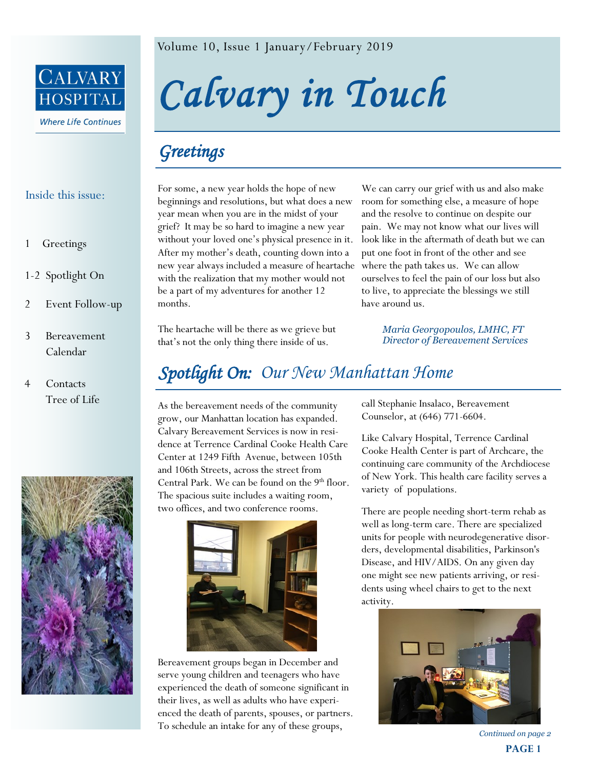

## Inside this issue:

- 1 Greetings
- 1-2 Spotlight On
- 2 Event Follow-up
- 3 Bereavement Calendar
- 4 Contacts Tree of Life



Volume 10, Issue 1 January/February 2019

*Calvary in Touch* 

## *Greetings*

For some, a new year holds the hope of new beginnings and resolutions, but what does a new year mean when you are in the midst of your grief? It may be so hard to imagine a new year without your loved one's physical presence in it. After my mother's death, counting down into a new year always included a measure of heartache with the realization that my mother would not be a part of my adventures for another 12 months.

The heartache will be there as we grieve but that's not the only thing there inside of us.

We can carry our grief with us and also make room for something else, a measure of hope and the resolve to continue on despite our pain. We may not know what our lives will look like in the aftermath of death but we can put one foot in front of the other and see where the path takes us. We can allow ourselves to feel the pain of our loss but also to live, to appreciate the blessings we still have around us.

> *Maria Georgopoulos, LMHC, FT Director of Bereavement Services*

## *Spotlight On: Our New Manhattan Home*

As the bereavement needs of the community grow, our Manhattan location has expanded. Calvary Bereavement Services is now in residence at Terrence Cardinal Cooke Health Care Center at 1249 Fifth Avenue, between 105th and 106th Streets, across the street from Central Park. We can be found on the  $9<sup>th</sup>$  floor. The spacious suite includes a waiting room, two offices, and two conference rooms.



Bereavement groups began in December and serve young children and teenagers who have experienced the death of someone significant in their lives, as well as adults who have experienced the death of parents, spouses, or partners. To schedule an intake for any of these groups,

call Stephanie Insalaco, Bereavement Counselor, at (646) 771-6604.

Like Calvary Hospital, Terrence Cardinal Cooke Health Center is part of Archcare, the continuing care community of the Archdiocese of New York. This health care facility serves a variety of populations.

There are people needing short-term rehab as well as long-term care. There are specialized units for people with neurodegenerative disorders, developmental disabilities, Parkinson's Disease, and HIV/AIDS. On any given day one might see new patients arriving, or residents using wheel chairs to get to the next activity.



**PAGE 1** *Continued on page 2*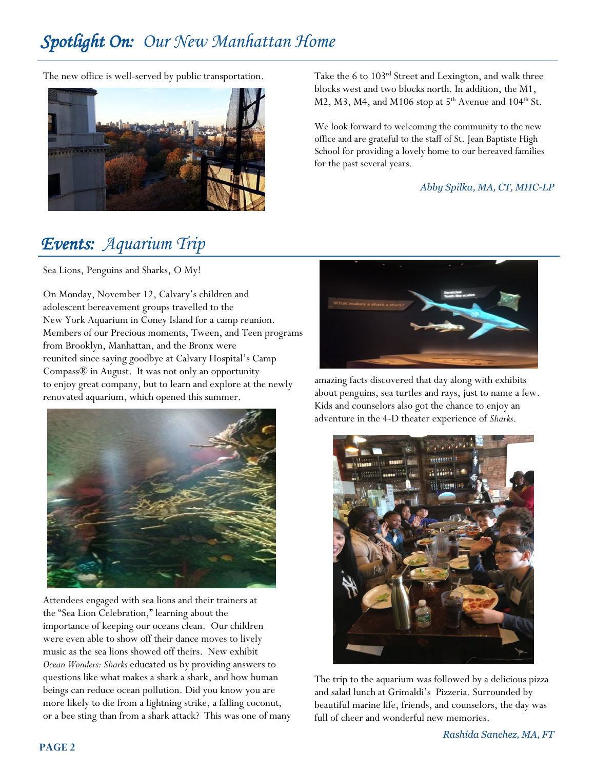# *Spotlight On: Our New Manhattan Home*

The new office is well-served by public transportation.



Take the 6 to 103rd Street and Lexington, and walk three blocks west and two blocks north. In addition, the M1, M2, M3, M4, and M106 stop at  $5<sup>th</sup>$  Avenue and 104<sup>th</sup> St.

We look forward to welcoming the community to the new office and are grateful to the staff of St. Jean Baptiste High School for providing a lovely home to our bereaved families for the past several years.

*Abby Spilka, MA, CT, MHC-LP*

## *Events: Aquarium Trip*

Sea Lions, Penguins and Sharks, O My!

On Monday, November 12, Calvary's children and adolescent bereavement groups travelled to the New York Aquarium in Coney Island for a camp reunion. Members of our Precious moments, Tween, and Teen programs from Brooklyn, Manhattan, and the Bronx were reunited since saying goodbye at Calvary Hospital's Camp Compass® in August. It was not only an opportunity to enjoy great company, but to learn and explore at the newly renovated aquarium, which opened this summer.



Attendees engaged with sea lions and their trainers at the "Sea Lion Celebration," learning about the importance of keeping our oceans clean. Our children were even able to show off their dance moves to lively music as the sea lions showed off theirs. New exhibit *Ocean Wonders: Sharks* educated us by providing answers to questions like what makes a shark a shark, and how human beings can reduce ocean pollution. Did you know you are more likely to die from a lightning strike, a falling coconut, or a bee sting than from a shark attack? This was one of many



amazing facts discovered that day along with exhibits about penguins, sea turtles and rays, just to name a few. Kids and counselors also got the chance to enjoy an adventure in the 4-D theater experience of *Sharks*.



The trip to the aquarium was followed by a delicious pizza and salad lunch at Grimaldi's Pizzeria. Surrounded by beautiful marine life, friends, and counselors, the day was full of cheer and wonderful new memories.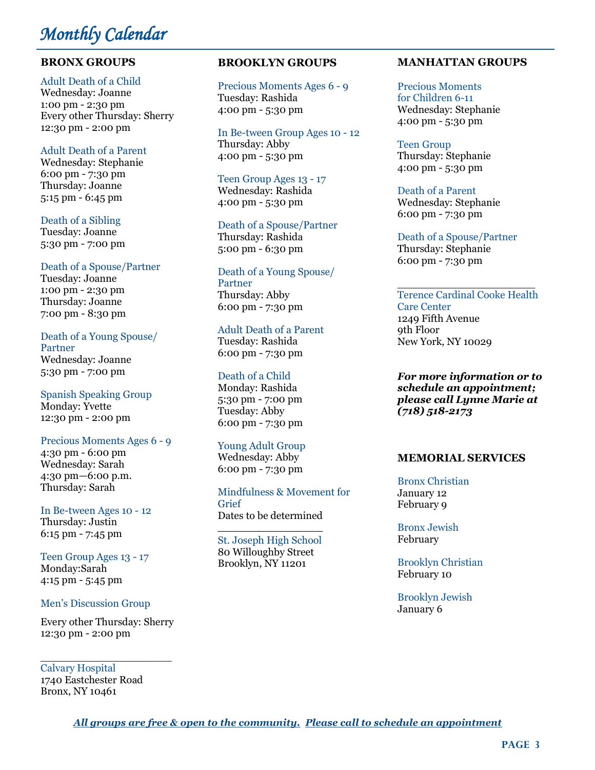# *Monthly Calendar*

## **BRONX GROUPS**

## Adult Death of a Child

Wednesday: Joanne 1:00 pm - 2:30 pm Every other Thursday: Sherry 12:30 pm - 2:00 pm

## Adult Death of a Parent

Wednesday: Stephanie 6:00 pm - 7:30 pm Thursday: Joanne 5:15 pm - 6:45 pm

## Death of a Sibling

Tuesday: Joanne 5:30 pm - 7:00 pm

#### Death of a Spouse/Partner

Tuesday: Joanne 1:00 pm - 2:30 pm Thursday: Joanne 7:00 pm - 8:30 pm

Death of a Young Spouse/ Partner Wednesday: Joanne 5:30 pm - 7:00 pm

Spanish Speaking Group Monday: Yvette 12:30 pm - 2:00 pm

## Precious Moments Ages 6 - 9

4:30 pm - 6:00 pm Wednesday: Sarah 4:30 pm—6:00 p.m. Thursday: Sarah

#### In Be-tween Ages 10 - 12 Thursday: Justin

6:15 pm - 7:45 pm

Teen Group Ages 13 - 17 Monday:Sarah 4:15 pm - 5:45 pm

## Men's Discussion Group

Every other Thursday: Sherry 12:30 pm - 2:00 pm

\_\_\_\_\_\_\_\_\_\_\_\_\_\_\_\_\_\_\_\_ Calvary Hospital 1740 Eastchester Road Bronx, NY 10461

## **BROOKLYN GROUPS**

Precious Moments Ages 6 - 9 Tuesday: Rashida 4:00 pm - 5:30 pm

In Be-tween Group Ages 10 - 12 Thursday: Abby 4:00 pm - 5:30 pm

Teen Group Ages 13 - 17 Wednesday: Rashida 4:00 pm - 5:30 pm

Death of a Spouse/Partner Thursday: Rashida 5:00 pm - 6:30 pm

#### Death of a Young Spouse/ Partner Thursday: Abby

6:00 pm - 7:30 pm

## Adult Death of a Parent

Tuesday: Rashida 6:00 pm - 7:30 pm

## Death of a Child

Monday: Rashida 5:30 pm - 7:00 pm Tuesday: Abby 6:00 pm - 7:30 pm

## Young Adult Group

Wednesday: Abby 6:00 pm - 7:30 pm

#### Mindfulness & Movement for Grief Dates to be determined

\_\_\_\_\_\_\_\_\_\_\_\_\_\_\_\_\_\_ St. Joseph High School 80 Willoughby Street Brooklyn, NY 11201

## **MANHATTAN GROUPS**

Precious Moments for Children 6-11 Wednesday: Stephanie 4:00 pm - 5:30 pm

Teen Group Thursday: Stephanie 4:00 pm - 5:30 pm

Death of a Parent Wednesday: Stephanie 6:00 pm - 7:30 pm

Death of a Spouse/Partner Thursday: Stephanie 6:00 pm - 7:30 pm

\_\_\_\_\_\_\_\_\_\_\_\_\_\_\_\_\_\_\_\_\_ Terence Cardinal Cooke Health Care Center 1249 Fifth Avenue 9th Floor New York, NY 10029

*For more information or to schedule an appointment; please call Lynne Marie at (718) 518-2173*

## **MEMORIAL SERVICES**

Bronx Christian January 12 February 9

Bronx Jewish February

Brooklyn Christian February 10

Brooklyn Jewish January 6

*All groups are free & open to the community. Please call to schedule an appointment*